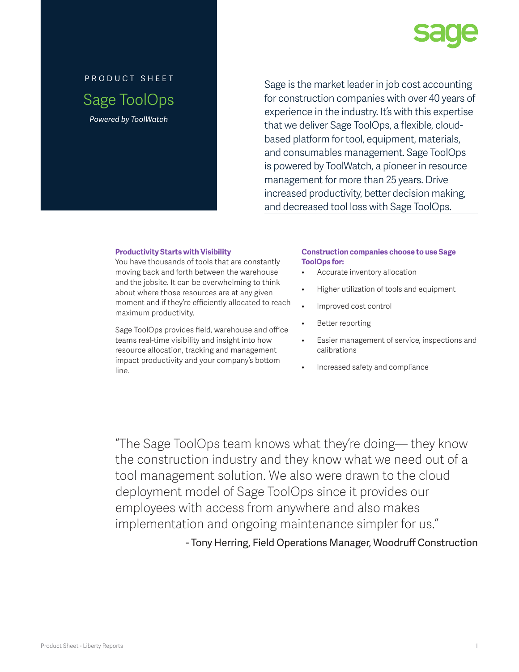

# product sheet Sage ToolOps *Powered by ToolWatch*

Sage is the market leader in job cost accounting for construction companies with over 40 years of experience in the industry. It's with this expertise that we deliver Sage ToolOps, a flexible, cloudbased platform for tool, equipment, materials, and consumables management. Sage ToolOps is powered by ToolWatch, a pioneer in resource management for more than 25 years. Drive increased productivity, better decision making, and decreased tool loss with Sage ToolOps.

#### **Productivity Starts with Visibility**

You have thousands of tools that are constantly moving back and forth between the warehouse and the jobsite. It can be overwhelming to think about where those resources are at any given moment and if they're efficiently allocated to reach maximum productivity.

Sage ToolOps provides field, warehouse and office teams real-time visibility and insight into how resource allocation, tracking and management impact productivity and your company's bottom line.

## **Construction companies choose to use Sage ToolOps for:**

- Accurate inventory allocation
- Higher utilization of tools and equipment
- Improved cost control
- Better reporting
- Easier management of service, inspections and calibrations
- Increased safety and compliance

"The Sage ToolOps team knows what they're doing— they know the construction industry and they know what we need out of a tool management solution. We also were drawn to the cloud deployment model of Sage ToolOps since it provides our employees with access from anywhere and also makes implementation and ongoing maintenance simpler for us."

- Tony Herring, Field Operations Manager, Woodruff Construction